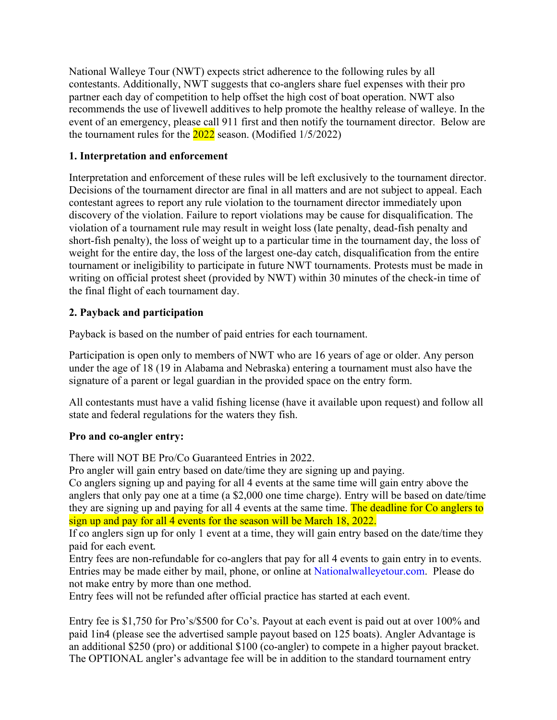National Walleye Tour (NWT) expects strict adherence to the following rules by all contestants. Additionally, NWT suggests that co-anglers share fuel expenses with their pro partner each day of competition to help offset the high cost of boat operation. NWT also recommends the use of livewell additives to help promote the healthy release of walleye. In the event of an emergency, please call 911 first and then notify the tournament director. Below are the tournament rules for the  $2022$  season. (Modified  $1/5/2022$ )

### **1. Interpretation and enforcement**

Interpretation and enforcement of these rules will be left exclusively to the tournament director. Decisions of the tournament director are final in all matters and are not subject to appeal. Each contestant agrees to report any rule violation to the tournament director immediately upon discovery of the violation. Failure to report violations may be cause for disqualification. The violation of a tournament rule may result in weight loss (late penalty, dead-fish penalty and short-fish penalty), the loss of weight up to a particular time in the tournament day, the loss of weight for the entire day, the loss of the largest one-day catch, disqualification from the entire tournament or ineligibility to participate in future NWT tournaments. Protests must be made in writing on official protest sheet (provided by NWT) within 30 minutes of the check-in time of the final flight of each tournament day.

### **2. Payback and participation**

Payback is based on the number of paid entries for each tournament.

Participation is open only to members of NWT who are 16 years of age or older. Any person under the age of 18 (19 in Alabama and Nebraska) entering a tournament must also have the signature of a parent or legal guardian in the provided space on the entry form.

All contestants must have a valid fishing license (have it available upon request) and follow all state and federal regulations for the waters they fish.

### **Pro and co-angler entry:**

There will NOT BE Pro/Co Guaranteed Entries in 2022.

Pro angler will gain entry based on date/time they are signing up and paying.

Co anglers signing up and paying for all 4 events at the same time will gain entry above the anglers that only pay one at a time (a \$2,000 one time charge). Entry will be based on date/time they are signing up and paying for all 4 events at the same time. The deadline for Co anglers to sign up and pay for all 4 events for the season will be March 18, 2022.

If co anglers sign up for only 1 event at a time, they will gain entry based on the date/time they paid for each event.

Entry fees are non-refundable for co-anglers that pay for all 4 events to gain entry in to events. Entries may be made either by mail, phone, or online at Nationalwalleyetour.com. Please do not make entry by more than one method.

Entry fees will not be refunded after official practice has started at each event.

Entry fee is \$1,750 for Pro's/\$500 for Co's. Payout at each event is paid out at over 100% and paid 1in4 (please see the advertised sample payout based on 125 boats). Angler Advantage is an additional \$250 (pro) or additional \$100 (co-angler) to compete in a higher payout bracket. The OPTIONAL angler's advantage fee will be in addition to the standard tournament entry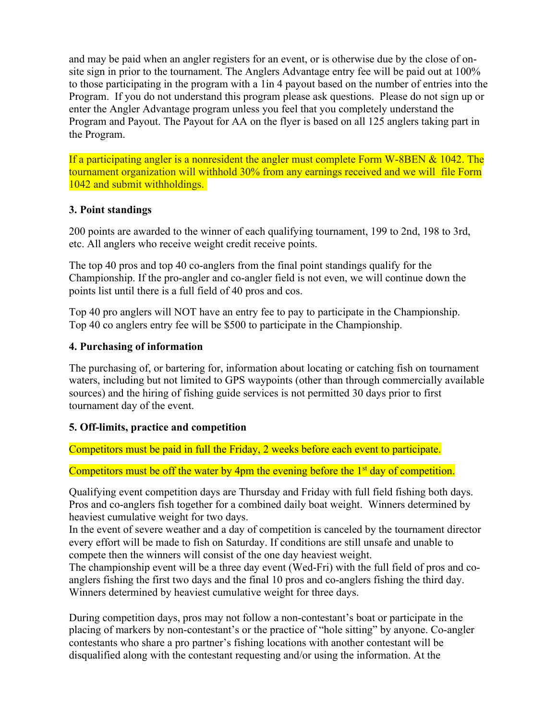and may be paid when an angler registers for an event, or is otherwise due by the close of onsite sign in prior to the tournament. The Anglers Advantage entry fee will be paid out at 100% to those participating in the program with a 1in 4 payout based on the number of entries into the Program. If you do not understand this program please ask questions. Please do not sign up or enter the Angler Advantage program unless you feel that you completely understand the Program and Payout. The Payout for AA on the flyer is based on all 125 anglers taking part in the Program.

If a participating angler is a nonresident the angler must complete Form W-8BEN & 1042. The tournament organization will withhold 30% from any earnings received and we will file Form 1042 and submit withholdings.

### **3. Point standings**

200 points are awarded to the winner of each qualifying tournament, 199 to 2nd, 198 to 3rd, etc. All anglers who receive weight credit receive points.

The top 40 pros and top 40 co-anglers from the final point standings qualify for the Championship. If the pro-angler and co-angler field is not even, we will continue down the points list until there is a full field of 40 pros and cos.

Top 40 pro anglers will NOT have an entry fee to pay to participate in the Championship. Top 40 co anglers entry fee will be \$500 to participate in the Championship.

### **4. Purchasing of information**

The purchasing of, or bartering for, information about locating or catching fish on tournament waters, including but not limited to GPS waypoints (other than through commercially available sources) and the hiring of fishing guide services is not permitted 30 days prior to first tournament day of the event.

# **5. Off-limits, practice and competition**

Competitors must be paid in full the Friday, 2 weeks before each event to participate.

Competitors must be off the water by 4pm the evening before the  $1<sup>st</sup>$  day of competition.

Qualifying event competition days are Thursday and Friday with full field fishing both days. Pros and co-anglers fish together for a combined daily boat weight. Winners determined by heaviest cumulative weight for two days.

In the event of severe weather and a day of competition is canceled by the tournament director every effort will be made to fish on Saturday. If conditions are still unsafe and unable to compete then the winners will consist of the one day heaviest weight.

The championship event will be a three day event (Wed-Fri) with the full field of pros and coanglers fishing the first two days and the final 10 pros and co-anglers fishing the third day. Winners determined by heaviest cumulative weight for three days.

During competition days, pros may not follow a non-contestant's boat or participate in the placing of markers by non-contestant's or the practice of "hole sitting" by anyone. Co-angler contestants who share a pro partner's fishing locations with another contestant will be disqualified along with the contestant requesting and/or using the information. At the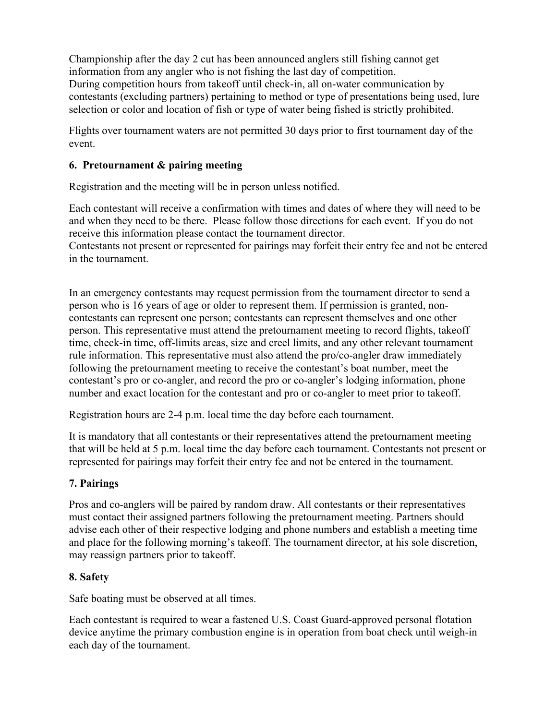Championship after the day 2 cut has been announced anglers still fishing cannot get information from any angler who is not fishing the last day of competition. During competition hours from takeoff until check-in, all on-water communication by contestants (excluding partners) pertaining to method or type of presentations being used, lure selection or color and location of fish or type of water being fished is strictly prohibited.

Flights over tournament waters are not permitted 30 days prior to first tournament day of the event.

## **6. Pretournament & pairing meeting**

Registration and the meeting will be in person unless notified.

Each contestant will receive a confirmation with times and dates of where they will need to be and when they need to be there. Please follow those directions for each event. If you do not receive this information please contact the tournament director.

Contestants not present or represented for pairings may forfeit their entry fee and not be entered in the tournament.

In an emergency contestants may request permission from the tournament director to send a person who is 16 years of age or older to represent them. If permission is granted, noncontestants can represent one person; contestants can represent themselves and one other person. This representative must attend the pretournament meeting to record flights, takeoff time, check-in time, off-limits areas, size and creel limits, and any other relevant tournament rule information. This representative must also attend the pro/co-angler draw immediately following the pretournament meeting to receive the contestant's boat number, meet the contestant's pro or co-angler, and record the pro or co-angler's lodging information, phone number and exact location for the contestant and pro or co-angler to meet prior to takeoff.

Registration hours are 2-4 p.m. local time the day before each tournament.

It is mandatory that all contestants or their representatives attend the pretournament meeting that will be held at 5 p.m. local time the day before each tournament. Contestants not present or represented for pairings may forfeit their entry fee and not be entered in the tournament.

# **7. Pairings**

Pros and co-anglers will be paired by random draw. All contestants or their representatives must contact their assigned partners following the pretournament meeting. Partners should advise each other of their respective lodging and phone numbers and establish a meeting time and place for the following morning's takeoff. The tournament director, at his sole discretion, may reassign partners prior to takeoff.

### **8. Safety**

Safe boating must be observed at all times.

Each contestant is required to wear a fastened U.S. Coast Guard-approved personal flotation device anytime the primary combustion engine is in operation from boat check until weigh-in each day of the tournament.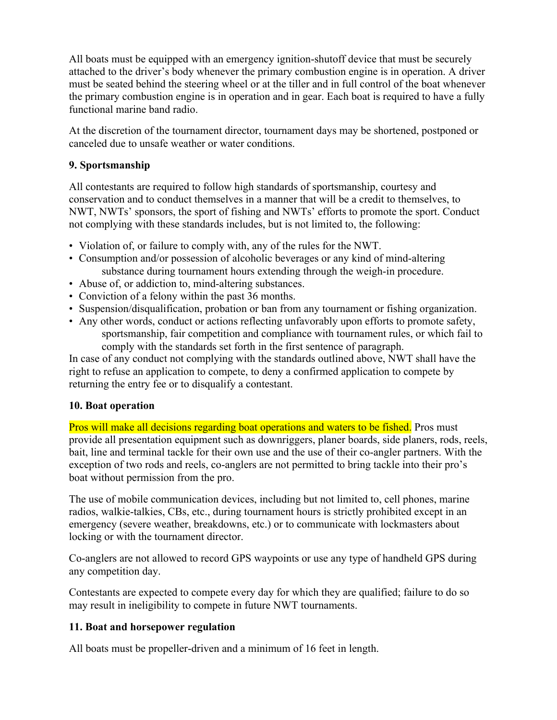All boats must be equipped with an emergency ignition-shutoff device that must be securely attached to the driver's body whenever the primary combustion engine is in operation. A driver must be seated behind the steering wheel or at the tiller and in full control of the boat whenever the primary combustion engine is in operation and in gear. Each boat is required to have a fully functional marine band radio.

At the discretion of the tournament director, tournament days may be shortened, postponed or canceled due to unsafe weather or water conditions.

## **9. Sportsmanship**

All contestants are required to follow high standards of sportsmanship, courtesy and conservation and to conduct themselves in a manner that will be a credit to themselves, to NWT, NWTs' sponsors, the sport of fishing and NWTs' efforts to promote the sport. Conduct not complying with these standards includes, but is not limited to, the following:

- Violation of, or failure to comply with, any of the rules for the NWT.
- Consumption and/or possession of alcoholic beverages or any kind of mind-altering substance during tournament hours extending through the weigh-in procedure.
- Abuse of, or addiction to, mind-altering substances.
- Conviction of a felony within the past 36 months.
- Suspension/disqualification, probation or ban from any tournament or fishing organization.
- Any other words, conduct or actions reflecting unfavorably upon efforts to promote safety, sportsmanship, fair competition and compliance with tournament rules, or which fail to comply with the standards set forth in the first sentence of paragraph.

In case of any conduct not complying with the standards outlined above, NWT shall have the right to refuse an application to compete, to deny a confirmed application to compete by returning the entry fee or to disqualify a contestant.

### **10. Boat operation**

Pros will make all decisions regarding boat operations and waters to be fished. Pros must provide all presentation equipment such as downriggers, planer boards, side planers, rods, reels, bait, line and terminal tackle for their own use and the use of their co-angler partners. With the exception of two rods and reels, co-anglers are not permitted to bring tackle into their pro's boat without permission from the pro.

The use of mobile communication devices, including but not limited to, cell phones, marine radios, walkie-talkies, CBs, etc., during tournament hours is strictly prohibited except in an emergency (severe weather, breakdowns, etc.) or to communicate with lockmasters about locking or with the tournament director.

Co-anglers are not allowed to record GPS waypoints or use any type of handheld GPS during any competition day.

Contestants are expected to compete every day for which they are qualified; failure to do so may result in ineligibility to compete in future NWT tournaments.

# **11. Boat and horsepower regulation**

All boats must be propeller-driven and a minimum of 16 feet in length.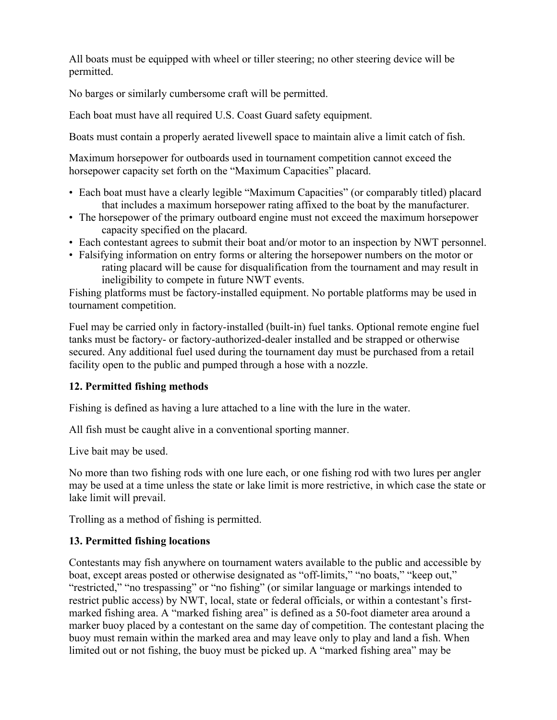All boats must be equipped with wheel or tiller steering; no other steering device will be permitted.

No barges or similarly cumbersome craft will be permitted.

Each boat must have all required U.S. Coast Guard safety equipment.

Boats must contain a properly aerated livewell space to maintain alive a limit catch of fish.

Maximum horsepower for outboards used in tournament competition cannot exceed the horsepower capacity set forth on the "Maximum Capacities" placard.

- Each boat must have a clearly legible "Maximum Capacities" (or comparably titled) placard that includes a maximum horsepower rating affixed to the boat by the manufacturer.
- The horsepower of the primary outboard engine must not exceed the maximum horsepower capacity specified on the placard.
- Each contestant agrees to submit their boat and/or motor to an inspection by NWT personnel.
- Falsifying information on entry forms or altering the horsepower numbers on the motor or rating placard will be cause for disqualification from the tournament and may result in ineligibility to compete in future NWT events.

Fishing platforms must be factory-installed equipment. No portable platforms may be used in tournament competition.

Fuel may be carried only in factory-installed (built-in) fuel tanks. Optional remote engine fuel tanks must be factory- or factory-authorized-dealer installed and be strapped or otherwise secured. Any additional fuel used during the tournament day must be purchased from a retail facility open to the public and pumped through a hose with a nozzle.

# **12. Permitted fishing methods**

Fishing is defined as having a lure attached to a line with the lure in the water.

All fish must be caught alive in a conventional sporting manner.

Live bait may be used.

No more than two fishing rods with one lure each, or one fishing rod with two lures per angler may be used at a time unless the state or lake limit is more restrictive, in which case the state or lake limit will prevail.

Trolling as a method of fishing is permitted.

# **13. Permitted fishing locations**

Contestants may fish anywhere on tournament waters available to the public and accessible by boat, except areas posted or otherwise designated as "off-limits," "no boats," "keep out," "restricted," "no trespassing" or "no fishing" (or similar language or markings intended to restrict public access) by NWT, local, state or federal officials, or within a contestant's firstmarked fishing area. A "marked fishing area" is defined as a 50-foot diameter area around a marker buoy placed by a contestant on the same day of competition. The contestant placing the buoy must remain within the marked area and may leave only to play and land a fish. When limited out or not fishing, the buoy must be picked up. A "marked fishing area" may be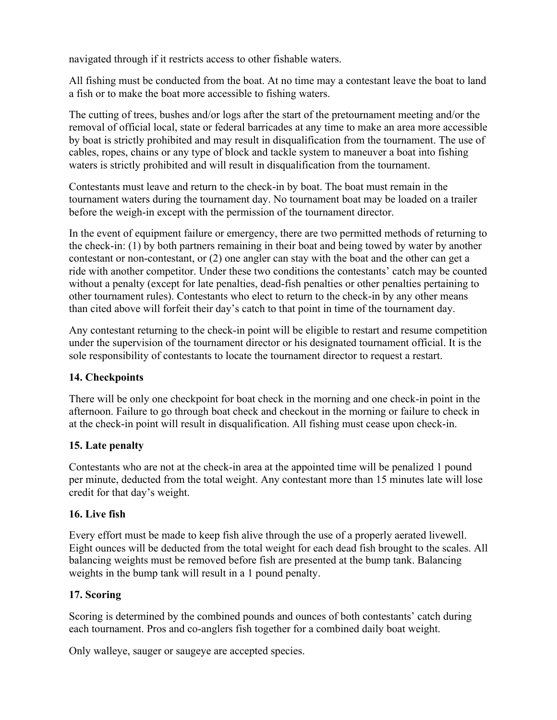navigated through if it restricts access to other fishable waters.

All fishing must be conducted from the boat. At no time may a contestant leave the boat to land a fish or to make the boat more accessible to fishing waters.

The cutting of trees, bushes and/or logs after the start of the pretournament meeting and/or the removal of official local, state or federal barricades at any time to make an area more accessible by boat is strictly prohibited and may result in disqualification from the tournament. The use of cables, ropes, chains or any type of block and tackle system to maneuver a boat into fishing waters is strictly prohibited and will result in disqualification from the tournament.

Contestants must leave and return to the check-in by boat. The boat must remain in the tournament waters during the tournament day. No tournament boat may be loaded on a trailer before the weigh-in except with the permission of the tournament director.

In the event of equipment failure or emergency, there are two permitted methods of returning to the check-in: (1) by both partners remaining in their boat and being towed by water by another contestant or non-contestant, or (2) one angler can stay with the boat and the other can get a ride with another competitor. Under these two conditions the contestants' catch may be counted without a penalty (except for late penalties, dead-fish penalties or other penalties pertaining to other tournament rules). Contestants who elect to return to the check-in by any other means than cited above will forfeit their day's catch to that point in time of the tournament day.

Any contestant returning to the check-in point will be eligible to restart and resume competition under the supervision of the tournament director or his designated tournament official. It is the sole responsibility of contestants to locate the tournament director to request a restart.

### **14. Checkpoints**

There will be only one checkpoint for boat check in the morning and one check-in point in the afternoon. Failure to go through boat check and checkout in the morning or failure to check in at the check-in point will result in disqualification. All fishing must cease upon check-in.

### **15. Late penalty**

Contestants who are not at the check-in area at the appointed time will be penalized 1 pound per minute, deducted from the total weight. Any contestant more than 15 minutes late will lose credit for that day's weight.

### **16. Live fish**

Every effort must be made to keep fish alive through the use of a properly aerated livewell. Eight ounces will be deducted from the total weight for each dead fish brought to the scales. All balancing weights must be removed before fish are presented at the bump tank. Balancing weights in the bump tank will result in a 1 pound penalty.

### **17. Scoring**

Scoring is determined by the combined pounds and ounces of both contestants' catch during each tournament. Pros and co-anglers fish together for a combined daily boat weight.

Only walleye, sauger or saugeye are accepted species.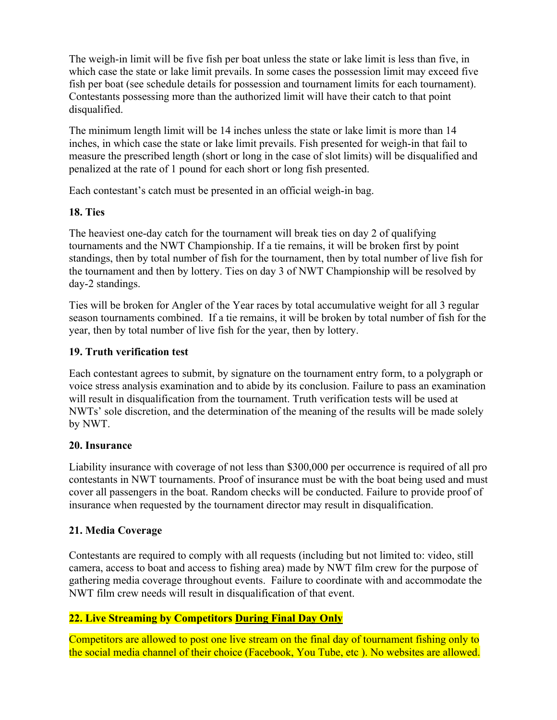The weigh-in limit will be five fish per boat unless the state or lake limit is less than five, in which case the state or lake limit prevails. In some cases the possession limit may exceed five fish per boat (see schedule details for possession and tournament limits for each tournament). Contestants possessing more than the authorized limit will have their catch to that point disqualified.

The minimum length limit will be 14 inches unless the state or lake limit is more than 14 inches, in which case the state or lake limit prevails. Fish presented for weigh-in that fail to measure the prescribed length (short or long in the case of slot limits) will be disqualified and penalized at the rate of 1 pound for each short or long fish presented.

Each contestant's catch must be presented in an official weigh-in bag.

### **18. Ties**

The heaviest one-day catch for the tournament will break ties on day 2 of qualifying tournaments and the NWT Championship. If a tie remains, it will be broken first by point standings, then by total number of fish for the tournament, then by total number of live fish for the tournament and then by lottery. Ties on day 3 of NWT Championship will be resolved by day-2 standings.

Ties will be broken for Angler of the Year races by total accumulative weight for all 3 regular season tournaments combined. If a tie remains, it will be broken by total number of fish for the year, then by total number of live fish for the year, then by lottery.

# **19. Truth verification test**

Each contestant agrees to submit, by signature on the tournament entry form, to a polygraph or voice stress analysis examination and to abide by its conclusion. Failure to pass an examination will result in disqualification from the tournament. Truth verification tests will be used at NWTs' sole discretion, and the determination of the meaning of the results will be made solely by NWT.

# **20. Insurance**

Liability insurance with coverage of not less than \$300,000 per occurrence is required of all pro contestants in NWT tournaments. Proof of insurance must be with the boat being used and must cover all passengers in the boat. Random checks will be conducted. Failure to provide proof of insurance when requested by the tournament director may result in disqualification.

# **21. Media Coverage**

Contestants are required to comply with all requests (including but not limited to: video, still camera, access to boat and access to fishing area) made by NWT film crew for the purpose of gathering media coverage throughout events. Failure to coordinate with and accommodate the NWT film crew needs will result in disqualification of that event.

# **22. Live Streaming by Competitors During Final Day Only**

Competitors are allowed to post one live stream on the final day of tournament fishing only to the social media channel of their choice (Facebook, You Tube, etc ). No websites are allowed.